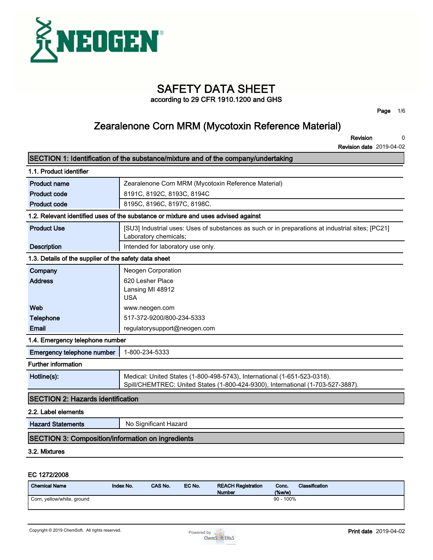

# **SAFETY DATA SHEET**

**according to 29 CFR 1910.1200 and GHS**

**Page 1/6**

### **Zearalenone Corn MRM (Mycotoxin Reference Material)**

**Revision 0**

**Revision date 2019-04-02**

|                                                          | SECTION 1: Identification of the substance/mixture and of the company/undertaking                                                                           |  |
|----------------------------------------------------------|-------------------------------------------------------------------------------------------------------------------------------------------------------------|--|
| 1.1. Product identifier                                  |                                                                                                                                                             |  |
| <b>Product name</b>                                      | Zearalenone Corn MRM (Mycotoxin Reference Material)                                                                                                         |  |
| <b>Product code</b>                                      | 8191C, 8192C, 8193C, 8194C                                                                                                                                  |  |
| <b>Product code</b>                                      | 8195C, 8196C, 8197C, 8198C.                                                                                                                                 |  |
|                                                          | 1.2. Relevant identified uses of the substance or mixture and uses advised against                                                                          |  |
| <b>Product Use</b>                                       | [SU3] Industrial uses: Uses of substances as such or in preparations at industrial sites; [PC21]<br>Laboratory chemicals;                                   |  |
| <b>Description</b>                                       | Intended for laboratory use only.                                                                                                                           |  |
| 1.3. Details of the supplier of the safety data sheet    |                                                                                                                                                             |  |
| Company                                                  | Neogen Corporation                                                                                                                                          |  |
| <b>Address</b>                                           | 620 Lesher Place                                                                                                                                            |  |
|                                                          | Lansing MI 48912                                                                                                                                            |  |
|                                                          | <b>USA</b>                                                                                                                                                  |  |
| Web                                                      | www.neogen.com<br>517-372-9200/800-234-5333                                                                                                                 |  |
| <b>Telephone</b><br>Email                                |                                                                                                                                                             |  |
|                                                          | regulatorysupport@neogen.com                                                                                                                                |  |
| 1.4. Emergency telephone number                          |                                                                                                                                                             |  |
| Emergency telephone number                               | 1-800-234-5333                                                                                                                                              |  |
| <b>Further information</b>                               |                                                                                                                                                             |  |
| Hotline(s):                                              | Medical: United States (1-800-498-5743), International (1-651-523-0318).<br>Spill/CHEMTREC: United States (1-800-424-9300), International (1-703-527-3887). |  |
| <b>SECTION 2: Hazards identification</b>                 |                                                                                                                                                             |  |
| 2.2. Label elements                                      |                                                                                                                                                             |  |
| <b>Hazard Statements</b>                                 | No Significant Hazard                                                                                                                                       |  |
| <b>SECTION 3: Composition/information on ingredients</b> |                                                                                                                                                             |  |
| 3.2. Mixtures                                            |                                                                                                                                                             |  |
|                                                          |                                                                                                                                                             |  |

#### **EC 1272/2008**

| <b>Chemical Name</b>       | <b>Index No.</b> | <b>CAS No.</b> | EC No. | <b>REACH Registration</b><br><b>Number</b> | Conc.<br>$(\%w/w)$ | <b>Classification</b> |
|----------------------------|------------------|----------------|--------|--------------------------------------------|--------------------|-----------------------|
| Corn, yellow/white, ground |                  |                |        |                                            | $90 - 100\%$       |                       |

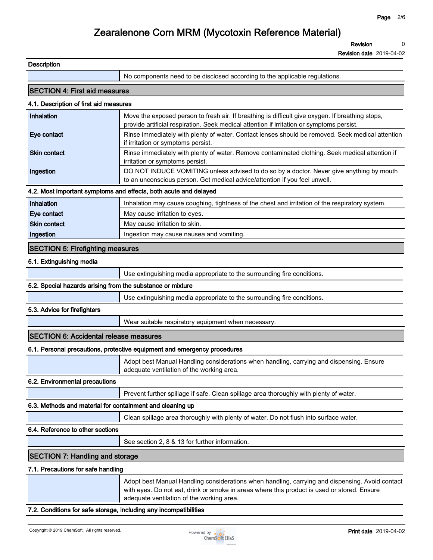**Revision 0**

**Revision date 2019-04-02**

| <b>Description</b>                                         |                                                                                                                                                                                                                                             |  |  |
|------------------------------------------------------------|---------------------------------------------------------------------------------------------------------------------------------------------------------------------------------------------------------------------------------------------|--|--|
|                                                            | No components need to be disclosed according to the applicable regulations.                                                                                                                                                                 |  |  |
| <b>SECTION 4: First aid measures</b>                       |                                                                                                                                                                                                                                             |  |  |
| 4.1. Description of first aid measures                     |                                                                                                                                                                                                                                             |  |  |
| Inhalation                                                 | Move the exposed person to fresh air. If breathing is difficult give oxygen. If breathing stops,<br>provide artificial respiration. Seek medical attention if irritation or symptoms persist.                                               |  |  |
| Eye contact                                                | Rinse immediately with plenty of water. Contact lenses should be removed. Seek medical attention<br>if irritation or symptoms persist.                                                                                                      |  |  |
| <b>Skin contact</b>                                        | Rinse immediately with plenty of water. Remove contaminated clothing. Seek medical attention if<br>irritation or symptoms persist.                                                                                                          |  |  |
| Ingestion                                                  | DO NOT INDUCE VOMITING unless advised to do so by a doctor. Never give anything by mouth<br>to an unconscious person. Get medical advice/attention if you feel unwell.                                                                      |  |  |
|                                                            | 4.2. Most important symptoms and effects, both acute and delayed                                                                                                                                                                            |  |  |
| Inhalation                                                 | Inhalation may cause coughing, tightness of the chest and irritation of the respiratory system.                                                                                                                                             |  |  |
| Eye contact                                                | May cause irritation to eyes.                                                                                                                                                                                                               |  |  |
| <b>Skin contact</b>                                        | May cause irritation to skin.                                                                                                                                                                                                               |  |  |
| Ingestion                                                  | Ingestion may cause nausea and vomiting.                                                                                                                                                                                                    |  |  |
| <b>SECTION 5: Firefighting measures</b>                    |                                                                                                                                                                                                                                             |  |  |
| 5.1. Extinguishing media                                   |                                                                                                                                                                                                                                             |  |  |
|                                                            | Use extinguishing media appropriate to the surrounding fire conditions.                                                                                                                                                                     |  |  |
| 5.2. Special hazards arising from the substance or mixture |                                                                                                                                                                                                                                             |  |  |
|                                                            | Use extinguishing media appropriate to the surrounding fire conditions.                                                                                                                                                                     |  |  |
| 5.3. Advice for firefighters                               |                                                                                                                                                                                                                                             |  |  |
|                                                            | Wear suitable respiratory equipment when necessary.                                                                                                                                                                                         |  |  |
| <b>SECTION 6: Accidental release measures</b>              |                                                                                                                                                                                                                                             |  |  |
|                                                            | 6.1. Personal precautions, protective equipment and emergency procedures                                                                                                                                                                    |  |  |
|                                                            | Adopt best Manual Handling considerations when handling, carrying and dispensing. Ensure<br>adequate ventilation of the working area.                                                                                                       |  |  |
| 6.2. Environmental precautions                             |                                                                                                                                                                                                                                             |  |  |
|                                                            | Prevent further spillage if safe. Clean spillage area thoroughly with plenty of water.                                                                                                                                                      |  |  |
| 6.3. Methods and material for containment and cleaning up  |                                                                                                                                                                                                                                             |  |  |
|                                                            | Clean spillage area thoroughly with plenty of water. Do not flush into surface water.                                                                                                                                                       |  |  |
| 6.4. Reference to other sections                           |                                                                                                                                                                                                                                             |  |  |
|                                                            | See section 2, 8 & 13 for further information.                                                                                                                                                                                              |  |  |
| <b>SECTION 7: Handling and storage</b>                     |                                                                                                                                                                                                                                             |  |  |
| 7.1. Precautions for safe handling                         |                                                                                                                                                                                                                                             |  |  |
|                                                            | Adopt best Manual Handling considerations when handling, carrying and dispensing. Avoid contact<br>with eyes. Do not eat, drink or smoke in areas where this product is used or stored. Ensure<br>adequate ventilation of the working area. |  |  |

### **7.2. Conditions for safe storage, including any incompatibilities**

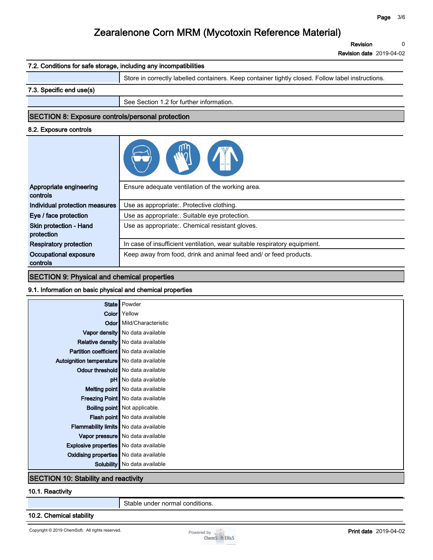**Revision 0**

**Revision date 2019-04-02**

| 7.2. Conditions for safe storage, including any incompatibilities |                                                                                                   |  |  |
|-------------------------------------------------------------------|---------------------------------------------------------------------------------------------------|--|--|
|                                                                   | Store in correctly labelled containers. Keep container tightly closed. Follow label instructions. |  |  |
| 7.3. Specific end use(s)                                          |                                                                                                   |  |  |
|                                                                   | See Section 1.2 for further information.                                                          |  |  |
| <b>SECTION 8: Exposure controls/personal protection</b>           |                                                                                                   |  |  |
| 8.2. Exposure controls                                            |                                                                                                   |  |  |
|                                                                   |                                                                                                   |  |  |
| Appropriate engineering<br>controls                               | Ensure adequate ventilation of the working area.                                                  |  |  |
| Individual protection measures                                    | Use as appropriate:. Protective clothing.                                                         |  |  |
| Eye / face protection                                             | Use as appropriate:. Suitable eye protection.                                                     |  |  |
| Skin protection - Hand<br>protection                              | Use as appropriate:. Chemical resistant gloves.                                                   |  |  |
| <b>Respiratory protection</b>                                     | In case of insufficient ventilation, wear suitable respiratory equipment.                         |  |  |
| Occupational exposure<br>controls                                 | Keep away from food, drink and animal feed and/ or feed products.                                 |  |  |

#### **SECTION 9: Physical and chemical properties**

#### **9.1. Information on basic physical and chemical properties**

|                                               | State   Powder                           |  |
|-----------------------------------------------|------------------------------------------|--|
|                                               | <b>Color</b> Yellow                      |  |
|                                               | <b>Odor</b> Mild/Characteristic          |  |
|                                               | Vapor density   No data available        |  |
|                                               | Relative density   No data available     |  |
| Partition coefficient   No data available     |                                          |  |
| Autoignition temperature   No data available  |                                          |  |
|                                               | <b>Odour threshold</b> No data available |  |
|                                               | pH No data available                     |  |
|                                               | Melting point   No data available        |  |
|                                               | Freezing Point No data available         |  |
|                                               | <b>Boiling point</b> Not applicable.     |  |
|                                               | Flash point   No data available          |  |
| <b>Flammability limits</b> No data available  |                                          |  |
|                                               | Vapor pressure   No data available       |  |
| <b>Explosive properties</b> No data available |                                          |  |
| <b>Oxidising properties</b> No data available |                                          |  |
|                                               | Solubility   No data available           |  |
| <b>SECTION 10: Stability and reactivity</b>   |                                          |  |

#### **10.1. Reactivity**

**Stable under normal conditions.**

#### **10.2. Chemical stability**

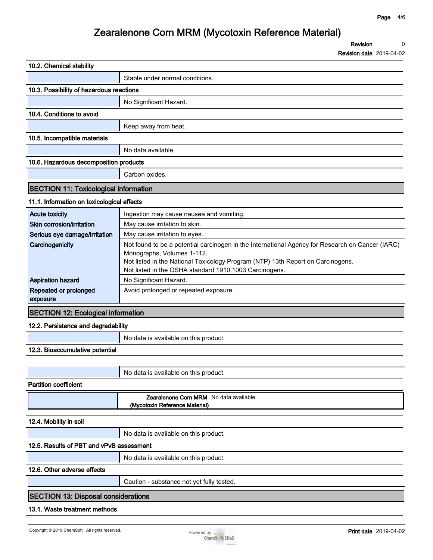**Revision 0**

**Revision date 2019-04-02**

| 10.2. Chemical stability                     |                                                                                                                                |  |
|----------------------------------------------|--------------------------------------------------------------------------------------------------------------------------------|--|
|                                              | Stable under normal conditions.                                                                                                |  |
| 10.3. Possibility of hazardous reactions     |                                                                                                                                |  |
|                                              | No Significant Hazard.                                                                                                         |  |
| 10.4. Conditions to avoid                    |                                                                                                                                |  |
|                                              | Keep away from heat.                                                                                                           |  |
| 10.5. Incompatible materials                 |                                                                                                                                |  |
|                                              | No data available.                                                                                                             |  |
| 10.6. Hazardous decomposition products       |                                                                                                                                |  |
|                                              | Carbon oxides.                                                                                                                 |  |
| <b>SECTION 11: Toxicological information</b> |                                                                                                                                |  |
| 11.1. Information on toxicological effects   |                                                                                                                                |  |
| <b>Acute toxicity</b>                        | Ingestion may cause nausea and vomiting.                                                                                       |  |
| Skin corrosion/irritation                    | May cause irritation to skin.                                                                                                  |  |
| Serious eye damage/irritation                | May cause irritation to eyes.                                                                                                  |  |
| Carcinogenicity                              | Not found to be a potential carcinogen in the International Agency for Research on Cancer (IARC)<br>Monographs, Volumes 1-112. |  |
|                                              | Not listed in the National Toxicology Program (NTP) 13th Report on Carcinogens.                                                |  |
|                                              | Not listed in the OSHA standard 1910.1003 Carcinogens.                                                                         |  |
| <b>Aspiration hazard</b>                     | No Significant Hazard.                                                                                                         |  |
| Repeated or prolonged<br>exposure            | Avoid prolonged or repeated exposure.                                                                                          |  |
| <b>SECTION 12: Ecological information</b>    |                                                                                                                                |  |
| 12.2. Persistence and degradability          |                                                                                                                                |  |
|                                              | No data is available on this product.                                                                                          |  |
| 12.3. Bioaccumulative potential              |                                                                                                                                |  |
|                                              |                                                                                                                                |  |
|                                              | No data is available on this product.                                                                                          |  |
| <b>Partition coefficient</b>                 |                                                                                                                                |  |
|                                              | <b>Zearalenone Corn MRM</b> No data available<br>(Mycotoxin Reference Material)                                                |  |
| 12.4. Mobility in soil                       |                                                                                                                                |  |
|                                              | No data is available on this product.                                                                                          |  |
| 12.5. Results of PBT and vPvB assessment     |                                                                                                                                |  |
|                                              | No data is available on this product.                                                                                          |  |
| 12.6. Other adverse effects                  |                                                                                                                                |  |
|                                              | Caution - substance not yet fully tested.                                                                                      |  |
| <b>SECTION 13: Disposal considerations</b>   |                                                                                                                                |  |
| 13.1. Waste treatment methods                |                                                                                                                                |  |
|                                              |                                                                                                                                |  |

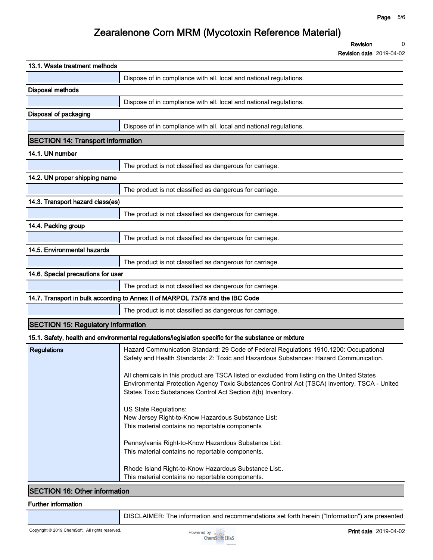**Revision 0**

**Revision date 2019-04-02**

| 13.1. Waste treatment methods             |                                                                                                                                                                                                                                                            |  |
|-------------------------------------------|------------------------------------------------------------------------------------------------------------------------------------------------------------------------------------------------------------------------------------------------------------|--|
|                                           | Dispose of in compliance with all. local and national regulations.                                                                                                                                                                                         |  |
| <b>Disposal methods</b>                   |                                                                                                                                                                                                                                                            |  |
|                                           | Dispose of in compliance with all. local and national regulations.                                                                                                                                                                                         |  |
| Disposal of packaging                     |                                                                                                                                                                                                                                                            |  |
|                                           | Dispose of in compliance with all. local and national regulations.                                                                                                                                                                                         |  |
| <b>SECTION 14: Transport information</b>  |                                                                                                                                                                                                                                                            |  |
| 14.1. UN number                           |                                                                                                                                                                                                                                                            |  |
|                                           | The product is not classified as dangerous for carriage.                                                                                                                                                                                                   |  |
| 14.2. UN proper shipping name             |                                                                                                                                                                                                                                                            |  |
|                                           | The product is not classified as dangerous for carriage.                                                                                                                                                                                                   |  |
| 14.3. Transport hazard class(es)          |                                                                                                                                                                                                                                                            |  |
|                                           | The product is not classified as dangerous for carriage.                                                                                                                                                                                                   |  |
| 14.4. Packing group                       |                                                                                                                                                                                                                                                            |  |
|                                           | The product is not classified as dangerous for carriage.                                                                                                                                                                                                   |  |
| 14.5. Environmental hazards               |                                                                                                                                                                                                                                                            |  |
|                                           | The product is not classified as dangerous for carriage.                                                                                                                                                                                                   |  |
| 14.6. Special precautions for user        |                                                                                                                                                                                                                                                            |  |
|                                           | The product is not classified as dangerous for carriage.                                                                                                                                                                                                   |  |
|                                           | 14.7. Transport in bulk according to Annex II of MARPOL 73/78 and the IBC Code                                                                                                                                                                             |  |
|                                           | The product is not classified as dangerous for carriage.                                                                                                                                                                                                   |  |
| <b>SECTION 15: Regulatory information</b> |                                                                                                                                                                                                                                                            |  |
|                                           | 15.1. Safety, health and environmental regulations/legislation specific for the substance or mixture                                                                                                                                                       |  |
| <b>Regulations</b>                        | Hazard Communication Standard: 29 Code of Federal Regulations 1910.1200: Occupational<br>Safety and Health Standards: Z: Toxic and Hazardous Substances: Hazard Communication.                                                                             |  |
|                                           | All chemicals in this product are TSCA listed or excluded from listing on the United States<br>Environmental Protection Agency Toxic Substances Control Act (TSCA) inventory, TSCA - United<br>States Toxic Substances Control Act Section 8(b) Inventory. |  |
|                                           | US State Regulations:<br>New Jersey Right-to-Know Hazardous Substance List:<br>This material contains no reportable components                                                                                                                             |  |
|                                           | Pennsylvania Right-to-Know Hazardous Substance List:<br>This material contains no reportable components.                                                                                                                                                   |  |
|                                           | Rhode Island Right-to-Know Hazardous Substance List:.<br>This material contains no reportable components.                                                                                                                                                  |  |
| <b>SECTION 16: Other information</b>      |                                                                                                                                                                                                                                                            |  |

### **SECTION 16: Other information**

#### **Further information**

**DISCLAIMER: The information and recommendations set forth herein ("Information") are presented**